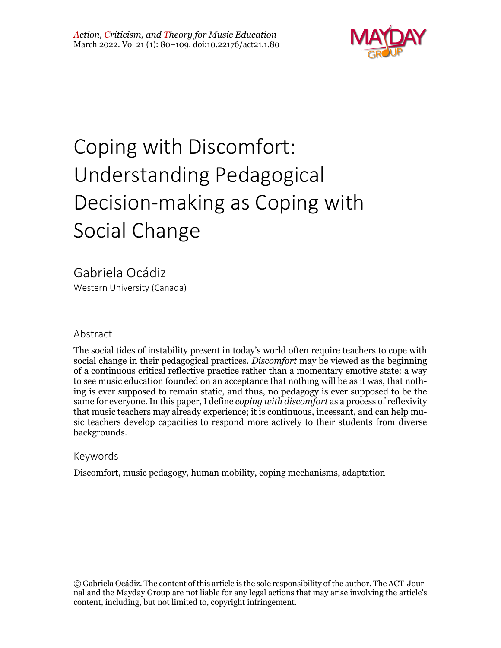

# Coping with Discomfort: Understanding Pedagogical Decision-making as Coping with Social Change

Gabriela Ocádiz Western University (Canada)

#### Abstract

The social tides of instability present in today's world often require teachers to cope with social change in their pedagogical practices. *Discomfort* may be viewed as the beginning of a continuous critical reflective practice rather than a momentary emotive state: a way to see music education founded on an acceptance that nothing will be as it was, that nothing is ever supposed to remain static, and thus, no pedagogy is ever supposed to be the same for everyone. In this paper, I define *coping with discomfort* as a process of reflexivity that music teachers may already experience; it is continuous, incessant, and can help music teachers develop capacities to respond more actively to their students from diverse backgrounds.

#### Keywords

Discomfort, music pedagogy, human mobility, coping mechanisms, adaptation

© Gabriela Ocádiz. The content of this article is the sole responsibility of the author. The ACT Journal and the Mayday Group are not liable for any legal actions that may arise involving the article's content, including, but not limited to, copyright infringement.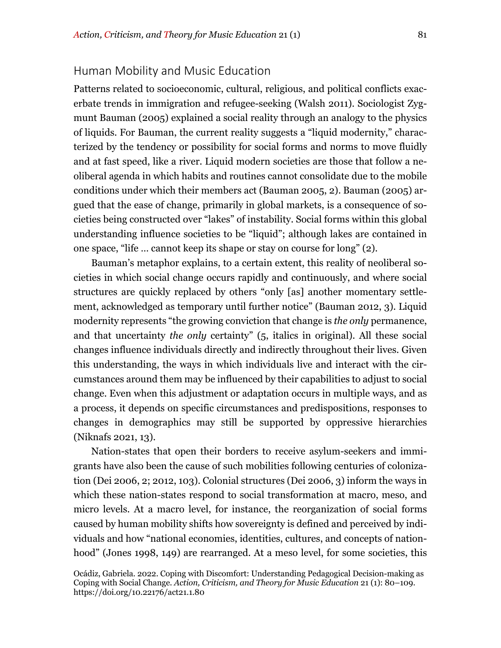## Human Mobility and Music Education

Patterns related to socioeconomic, cultural, religious, and political conflicts exacerbate trends in immigration and refugee-seeking (Walsh 2011). Sociologist Zygmunt Bauman (2005) explained a social reality through an analogy to the physics of liquids. For Bauman, the current reality suggests a "liquid modernity," characterized by the tendency or possibility for social forms and norms to move fluidly and at fast speed, like a river. Liquid modern societies are those that follow a neoliberal agenda in which habits and routines cannot consolidate due to the mobile conditions under which their members act (Bauman 2005, 2). Bauman (2005) argued that the ease of change, primarily in global markets, is a consequence of societies being constructed over "lakes" of instability. Social forms within this global understanding influence societies to be "liquid"; although lakes are contained in one space, "life … cannot keep its shape or stay on course for long" (2).

Bauman's metaphor explains, to a certain extent, this reality of neoliberal societies in which social change occurs rapidly and continuously, and where social structures are quickly replaced by others "only [as] another momentary settlement, acknowledged as temporary until further notice" (Bauman 2012, 3). Liquid modernity represents "the growing conviction that change is *the only* permanence, and that uncertainty *the only* certainty" (5, italics in original). All these social changes influence individuals directly and indirectly throughout their lives. Given this understanding, the ways in which individuals live and interact with the circumstances around them may be influenced by their capabilities to adjust to social change. Even when this adjustment or adaptation occurs in multiple ways, and as a process, it depends on specific circumstances and predispositions, responses to changes in demographics may still be supported by oppressive hierarchies (Niknafs 2021, 13).

Nation-states that open their borders to receive asylum-seekers and immigrants have also been the cause of such mobilities following centuries of colonization (Dei 2006, 2; 2012, 103). Colonial structures (Dei 2006, 3) inform the ways in which these nation-states respond to social transformation at macro, meso, and micro levels. At a macro level, for instance, the reorganization of social forms caused by human mobility shifts how sovereignty is defined and perceived by individuals and how "national economies, identities, cultures, and concepts of nationhood" (Jones 1998, 149) are rearranged. At a meso level, for some societies, this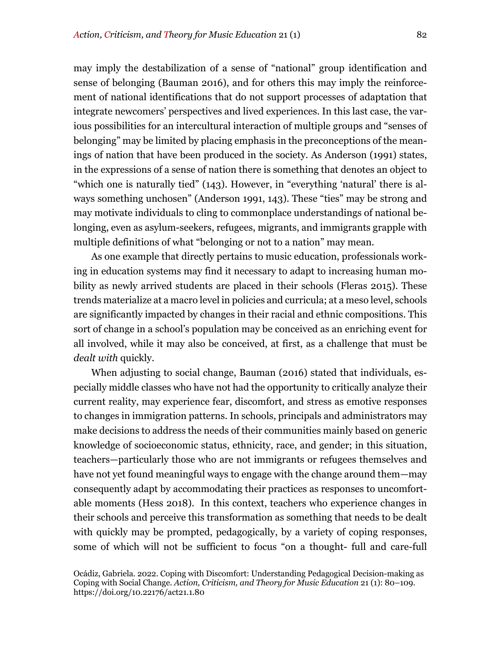may imply the destabilization of a sense of "national" group identification and sense of belonging (Bauman 2016), and for others this may imply the reinforcement of national identifications that do not support processes of adaptation that integrate newcomers' perspectives and lived experiences. In this last case, the various possibilities for an intercultural interaction of multiple groups and "senses of belonging" may be limited by placing emphasis in the preconceptions of the meanings of nation that have been produced in the society. As Anderson (1991) states, in the expressions of a sense of nation there is something that denotes an object to "which one is naturally tied" (143). However, in "everything 'natural' there is always something unchosen" (Anderson 1991, 143). These "ties" may be strong and may motivate individuals to cling to commonplace understandings of national belonging, even as asylum-seekers, refugees, migrants, and immigrants grapple with multiple definitions of what "belonging or not to a nation" may mean.

As one example that directly pertains to music education, professionals working in education systems may find it necessary to adapt to increasing human mobility as newly arrived students are placed in their schools (Fleras 2015). These trends materialize at a macro level in policies and curricula; at a meso level, schools are significantly impacted by changes in their racial and ethnic compositions. This sort of change in a school's population may be conceived as an enriching event for all involved, while it may also be conceived, at first, as a challenge that must be *dealt with* quickly.

When adjusting to social change, Bauman (2016) stated that individuals, especially middle classes who have not had the opportunity to critically analyze their current reality, may experience fear, discomfort, and stress as emotive responses to changes in immigration patterns. In schools, principals and administrators may make decisions to address the needs of their communities mainly based on generic knowledge of socioeconomic status, ethnicity, race, and gender; in this situation, teachers—particularly those who are not immigrants or refugees themselves and have not yet found meaningful ways to engage with the change around them—may consequently adapt by accommodating their practices as responses to uncomfortable moments (Hess 2018). In this context, teachers who experience changes in their schools and perceive this transformation as something that needs to be dealt with quickly may be prompted, pedagogically, by a variety of coping responses, some of which will not be sufficient to focus "on a thought- full and care-full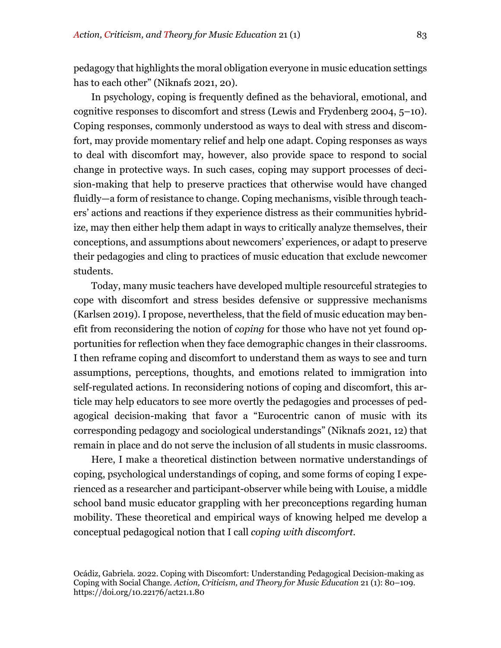pedagogy that highlights the moral obligation everyone in music education settings has to each other" (Niknafs 2021, 20).

In psychology, coping is frequently defined as the behavioral, emotional, and cognitive responses to discomfort and stress (Lewis and Frydenberg 2004, 5–10). Coping responses, commonly understood as ways to deal with stress and discomfort, may provide momentary relief and help one adapt. Coping responses as ways to deal with discomfort may, however, also provide space to respond to social change in protective ways. In such cases, coping may support processes of decision-making that help to preserve practices that otherwise would have changed fluidly—a form of resistance to change. Coping mechanisms, visible through teachers' actions and reactions if they experience distress as their communities hybridize, may then either help them adapt in ways to critically analyze themselves, their conceptions, and assumptions about newcomers' experiences, or adapt to preserve their pedagogies and cling to practices of music education that exclude newcomer students.

Today, many music teachers have developed multiple resourceful strategies to cope with discomfort and stress besides defensive or suppressive mechanisms (Karlsen 2019). I propose, nevertheless, that the field of music education may benefit from reconsidering the notion of *coping* for those who have not yet found opportunities for reflection when they face demographic changes in their classrooms. I then reframe coping and discomfort to understand them as ways to see and turn assumptions, perceptions, thoughts, and emotions related to immigration into self-regulated actions. In reconsidering notions of coping and discomfort, this article may help educators to see more overtly the pedagogies and processes of pedagogical decision-making that favor a "Eurocentric canon of music with its corresponding pedagogy and sociological understandings" (Niknafs 2021, 12) that remain in place and do not serve the inclusion of all students in music classrooms.

Here, I make a theoretical distinction between normative understandings of coping, psychological understandings of coping, and some forms of coping I experienced as a researcher and participant-observer while being with Louise, a middle school band music educator grappling with her preconceptions regarding human mobility. These theoretical and empirical ways of knowing helped me develop a conceptual pedagogical notion that I call *coping with discomfort.*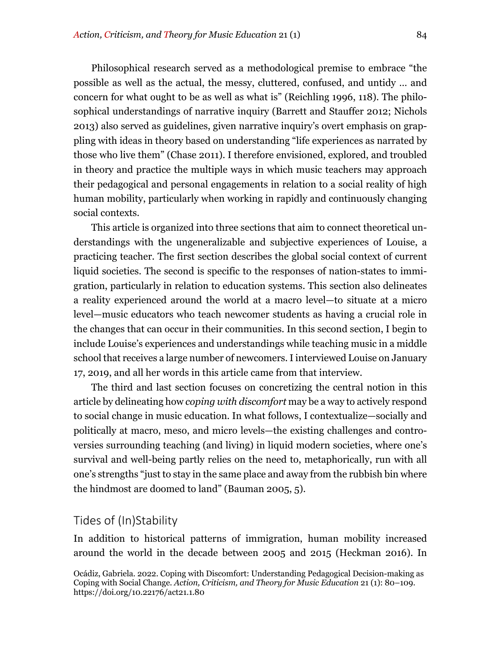Philosophical research served as a methodological premise to embrace "the possible as well as the actual, the messy, cluttered, confused, and untidy … and concern for what ought to be as well as what is" (Reichling 1996, 118). The philosophical understandings of narrative inquiry (Barrett and Stauffer 2012; Nichols 2013) also served as guidelines, given narrative inquiry's overt emphasis on grappling with ideas in theory based on understanding "life experiences as narrated by those who live them" (Chase 2011). I therefore envisioned, explored, and troubled in theory and practice the multiple ways in which music teachers may approach their pedagogical and personal engagements in relation to a social reality of high human mobility, particularly when working in rapidly and continuously changing social contexts.

This article is organized into three sections that aim to connect theoretical understandings with the ungeneralizable and subjective experiences of Louise, a practicing teacher. The first section describes the global social context of current liquid societies. The second is specific to the responses of nation-states to immigration, particularly in relation to education systems. This section also delineates a reality experienced around the world at a macro level—to situate at a micro level—music educators who teach newcomer students as having a crucial role in the changes that can occur in their communities. In this second section, I begin to include Louise's experiences and understandings while teaching music in a middle school that receives a large number of newcomers. I interviewed Louise on January 17, 2019, and all her words in this article came from that interview.

The third and last section focuses on concretizing the central notion in this article by delineating how *coping with discomfort* may be a way to actively respond to social change in music education. In what follows, I contextualize—socially and politically at macro, meso, and micro levels—the existing challenges and controversies surrounding teaching (and living) in liquid modern societies, where one's survival and well-being partly relies on the need to, metaphorically, run with all one's strengths "just to stay in the same place and away from the rubbish bin where the hindmost are doomed to land" (Bauman 2005, 5).

### Tides of (In)Stability

In addition to historical patterns of immigration, human mobility increased around the world in the decade between 2005 and 2015 (Heckman 2016). In

Ocádiz, Gabriela. 2022. Coping with Discomfort: Understanding Pedagogical Decision-making as Coping with Social Change. *Action, Criticism, and Theory for Music Education* 21 (1): 80–109. https://doi.org/10.22176/act21.1.80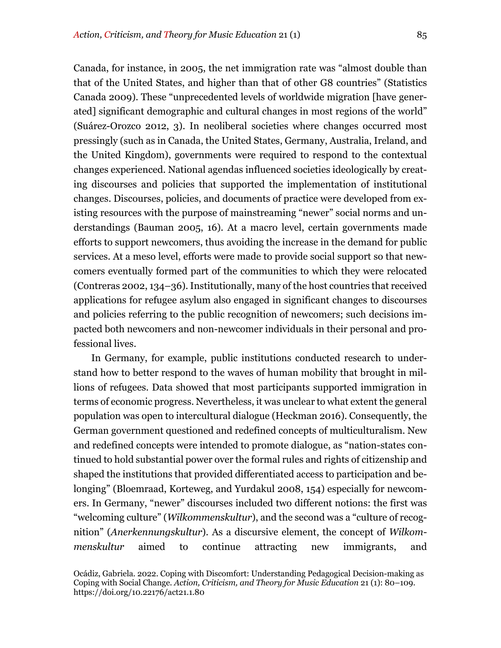Canada, for instance, in 2005, the net immigration rate was "almost double than that of the United States, and higher than that of other G8 countries" (Statistics Canada 2009). These "unprecedented levels of worldwide migration [have generated] significant demographic and cultural changes in most regions of the world" (Suárez-Orozco 2012, 3). In neoliberal societies where changes occurred most pressingly (such as in Canada, the United States, Germany, Australia, Ireland, and the United Kingdom), governments were required to respond to the contextual changes experienced. National agendas influenced societies ideologically by creating discourses and policies that supported the implementation of institutional changes. Discourses, policies, and documents of practice were developed from existing resources with the purpose of mainstreaming "newer" social norms and understandings (Bauman 2005, 16). At a macro level, certain governments made efforts to support newcomers, thus avoiding the increase in the demand for public services. At a meso level, efforts were made to provide social support so that newcomers eventually formed part of the communities to which they were relocated (Contreras 2002, 134–36).Institutionally, many of the host countries that received applications for refugee asylum also engaged in significant changes to discourses and policies referring to the public recognition of newcomers; such decisions impacted both newcomers and non-newcomer individuals in their personal and professional lives.

In Germany, for example, public institutions conducted research to understand how to better respond to the waves of human mobility that brought in millions of refugees. Data showed that most participants supported immigration in terms of economic progress. Nevertheless, it was unclear to what extent the general population was open to intercultural dialogue (Heckman 2016). Consequently, the German government questioned and redefined concepts of multiculturalism. New and redefined concepts were intended to promote dialogue, as "nation-states continued to hold substantial power over the formal rules and rights of citizenship and shaped the institutions that provided differentiated access to participation and belonging" (Bloemraad, Korteweg, and Yurdakul 2008, 154) especially for newcomers. In Germany, "newer" discourses included two different notions: the first was "welcoming culture" (*Wilkommenskultur*), and the second was a "culture of recognition" (*Anerkennungskultur*). As a discursive element, the concept of *Wilkommenskultur* aimed to continue attracting new immigrants, and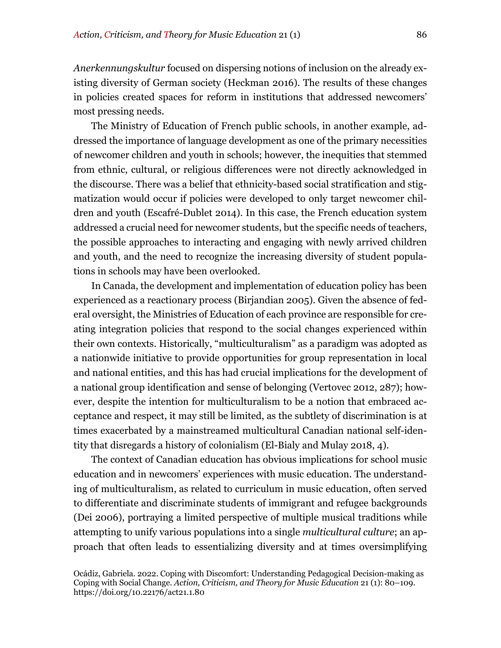*Anerkennungskultur* focused on dispersing notions of inclusion on the already existing diversity of German society (Heckman 2016). The results of these changes in policies created spaces for reform in institutions that addressed newcomers' most pressing needs.

The Ministry of Education of French public schools, in another example, addressed the importance of language development as one of the primary necessities of newcomer children and youth in schools; however, the inequities that stemmed from ethnic, cultural, or religious differences were not directly acknowledged in the discourse. There was a belief that ethnicity-based social stratification and stigmatization would occur if policies were developed to only target newcomer children and youth (Escafré-Dublet 2014). In this case, the French education system addressed a crucial need for newcomer students, but the specific needs of teachers, the possible approaches to interacting and engaging with newly arrived children and youth, and the need to recognize the increasing diversity of student populations in schools may have been overlooked.

In Canada, the development and implementation of education policy has been experienced as a reactionary process (Birjandian 2005). Given the absence of federal oversight, the Ministries of Education of each province are responsible for creating integration policies that respond to the social changes experienced within their own contexts. Historically, "multiculturalism" as a paradigm was adopted as a nationwide initiative to provide opportunities for group representation in local and national entities, and this has had crucial implications for the development of a national group identification and sense of belonging (Vertovec 2012, 287); however, despite the intention for multiculturalism to be a notion that embraced acceptance and respect, it may still be limited, as the subtlety of discrimination is at times exacerbated by a mainstreamed multicultural Canadian national self-identity that disregards a history of colonialism (El-Bialy and Mulay 2018, 4).

The context of Canadian education has obvious implications for school music education and in newcomers' experiences with music education. The understanding of multiculturalism, as related to curriculum in music education, often served to differentiate and discriminate students of immigrant and refugee backgrounds (Dei 2006), portraying a limited perspective of multiple musical traditions while attempting to unify various populations into a single *multicultural culture*; an approach that often leads to essentializing diversity and at times oversimplifying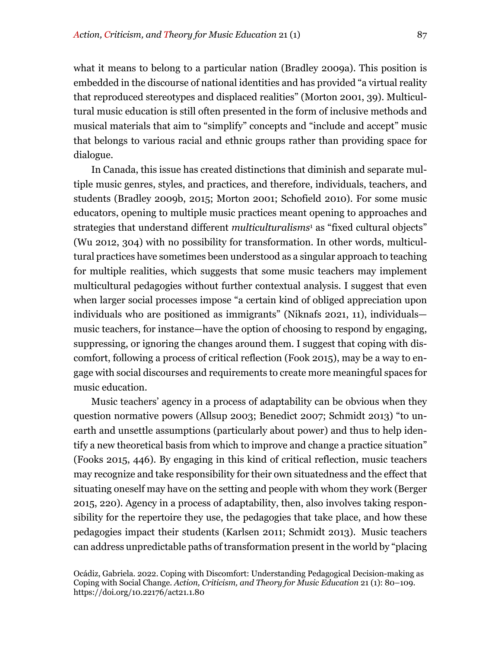what it means to belong to a particular nation (Bradley 2009a). This position is embedded in the discourse of national identities and has provided "a virtual reality that reproduced stereotypes and displaced realities" (Morton 2001, 39). Multicultural music education is still often presented in the form of inclusive methods and musical materials that aim to "simplify" concepts and "include and accept" music that belongs to various racial and ethnic groups rather than providing space for dialogue.

In Canada, this issue has created distinctions that diminish and separate multiple music genres, styles, and practices, and therefore, individuals, teachers, and students (Bradley 2009b, 2015; Morton 2001; Schofield 2010). For some music educators, opening to multiple music practices meant opening to approaches and strategies that understand different *multiculturalisms*<sup>1</sup> as "fixed cultural objects" (Wu 2012, 304) with no possibility for transformation. In other words, multicultural practices have sometimes been understood as a singular approach to teaching for multiple realities, which suggests that some music teachers may implement multicultural pedagogies without further contextual analysis. I suggest that even when larger social processes impose "a certain kind of obliged appreciation upon individuals who are positioned as immigrants" (Niknafs 2021, 11), individuals music teachers, for instance—have the option of choosing to respond by engaging, suppressing, or ignoring the changes around them. I suggest that coping with discomfort, following a process of critical reflection (Fook 2015), may be a way to engage with social discourses and requirements to create more meaningful spaces for music education.

Music teachers' agency in a process of adaptability can be obvious when they question normative powers (Allsup 2003; Benedict 2007; Schmidt 2013) "to unearth and unsettle assumptions (particularly about power) and thus to help identify a new theoretical basis from which to improve and change a practice situation" (Fooks 2015, 446). By engaging in this kind of critical reflection, music teachers may recognize and take responsibility for their own situatedness and the effect that situating oneself may have on the setting and people with whom they work (Berger 2015, 220). Agency in a process of adaptability, then, also involves taking responsibility for the repertoire they use, the pedagogies that take place, and how these pedagogies impact their students (Karlsen 2011; Schmidt 2013). Music teachers can address unpredictable paths of transformation present in the world by "placing

Ocádiz, Gabriela. 2022. Coping with Discomfort: Understanding Pedagogical Decision-making as Coping with Social Change. *Action, Criticism, and Theory for Music Education* 21 (1): 80–109. https://doi.org/10.22176/act21.1.80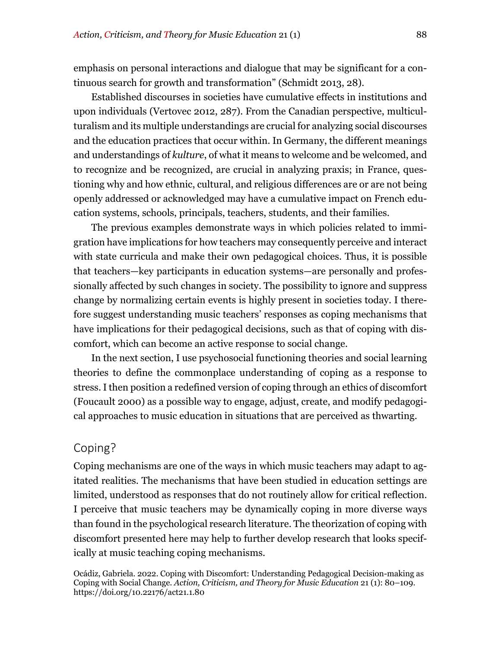emphasis on personal interactions and dialogue that may be significant for a continuous search for growth and transformation" (Schmidt 2013, 28).

Established discourses in societies have cumulative effects in institutions and upon individuals (Vertovec 2012, 287). From the Canadian perspective, multiculturalism and its multiple understandings are crucial for analyzing social discourses and the education practices that occur within. In Germany, the different meanings and understandings of *kulture*, of what it means to welcome and be welcomed, and to recognize and be recognized, are crucial in analyzing praxis; in France, questioning why and how ethnic, cultural, and religious differences are or are not being openly addressed or acknowledged may have a cumulative impact on French education systems, schools, principals, teachers, students, and their families.

The previous examples demonstrate ways in which policies related to immigration have implications for how teachers may consequently perceive and interact with state curricula and make their own pedagogical choices. Thus, it is possible that teachers—key participants in education systems—are personally and professionally affected by such changes in society. The possibility to ignore and suppress change by normalizing certain events is highly present in societies today. I therefore suggest understanding music teachers' responses as coping mechanisms that have implications for their pedagogical decisions, such as that of coping with discomfort, which can become an active response to social change.

In the next section, I use psychosocial functioning theories and social learning theories to define the commonplace understanding of coping as a response to stress. I then position a redefined version of coping through an ethics of discomfort (Foucault 2000) as a possible way to engage, adjust, create, and modify pedagogical approaches to music education in situations that are perceived as thwarting.

## Coping?

Coping mechanisms are one of the ways in which music teachers may adapt to agitated realities. The mechanisms that have been studied in education settings are limited, understood as responses that do not routinely allow for critical reflection. I perceive that music teachers may be dynamically coping in more diverse ways than found in the psychological research literature. The theorization of coping with discomfort presented here may help to further develop research that looks specifically at music teaching coping mechanisms.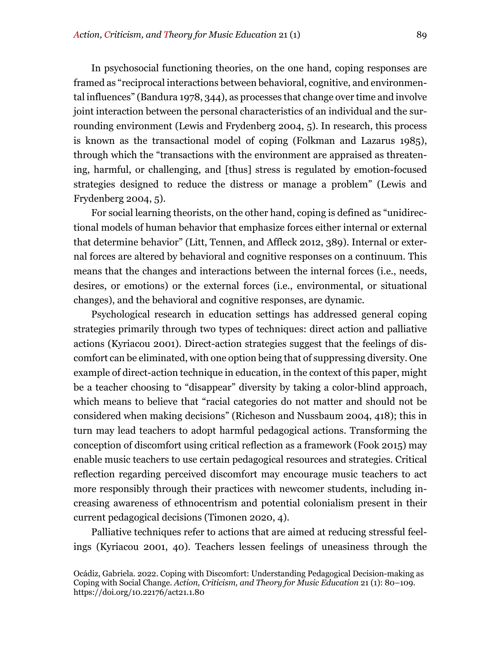In psychosocial functioning theories, on the one hand, coping responses are framed as "reciprocal interactions between behavioral, cognitive, and environmental influences" (Bandura 1978, 344), as processes that change over time and involve joint interaction between the personal characteristics of an individual and the surrounding environment (Lewis and Frydenberg 2004, 5). In research, this process is known as the transactional model of coping (Folkman and Lazarus 1985), through which the "transactions with the environment are appraised as threatening, harmful, or challenging, and [thus] stress is regulated by emotion-focused strategies designed to reduce the distress or manage a problem" (Lewis and Frydenberg 2004, 5).

For social learning theorists, on the other hand, coping is defined as "unidirectional models of human behavior that emphasize forces either internal or external that determine behavior" (Litt, Tennen, and Affleck 2012, 389). Internal or external forces are altered by behavioral and cognitive responses on a continuum. This means that the changes and interactions between the internal forces (i.e., needs, desires, or emotions) or the external forces (i.e., environmental, or situational changes), and the behavioral and cognitive responses, are dynamic.

Psychological research in education settings has addressed general coping strategies primarily through two types of techniques: direct action and palliative actions (Kyriacou 2001). Direct-action strategies suggest that the feelings of discomfort can be eliminated, with one option being that of suppressing diversity. One example of direct-action technique in education, in the context of this paper, might be a teacher choosing to "disappear" diversity by taking a color-blind approach, which means to believe that "racial categories do not matter and should not be considered when making decisions" (Richeson and Nussbaum 2004, 418); this in turn may lead teachers to adopt harmful pedagogical actions. Transforming the conception of discomfort using critical reflection as a framework (Fook 2015) may enable music teachers to use certain pedagogical resources and strategies. Critical reflection regarding perceived discomfort may encourage music teachers to act more responsibly through their practices with newcomer students, including increasing awareness of ethnocentrism and potential colonialism present in their current pedagogical decisions (Timonen 2020, 4).

Palliative techniques refer to actions that are aimed at reducing stressful feelings (Kyriacou 2001, 40). Teachers lessen feelings of uneasiness through the

Ocádiz, Gabriela. 2022. Coping with Discomfort: Understanding Pedagogical Decision-making as Coping with Social Change. *Action, Criticism, and Theory for Music Education* 21 (1): 80–109. https://doi.org/10.22176/act21.1.80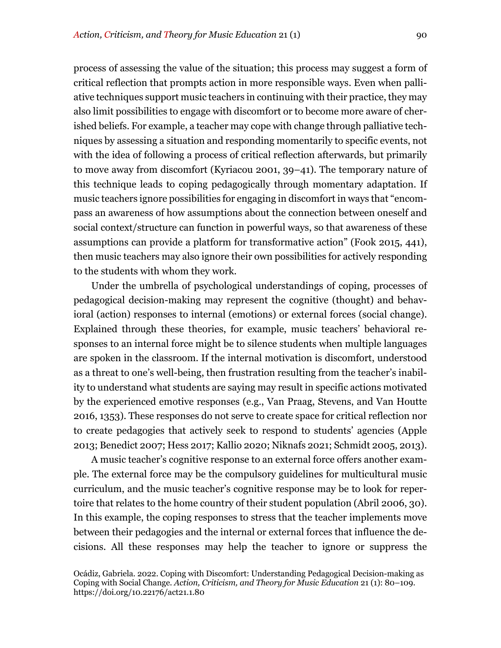process of assessing the value of the situation; this process may suggest a form of critical reflection that prompts action in more responsible ways. Even when palliative techniques support music teachers in continuing with their practice, they may also limit possibilities to engage with discomfort or to become more aware of cherished beliefs. For example, a teacher may cope with change through palliative techniques by assessing a situation and responding momentarily to specific events, not with the idea of following a process of critical reflection afterwards, but primarily to move away from discomfort (Kyriacou 2001, 39–41). The temporary nature of this technique leads to coping pedagogically through momentary adaptation. If music teachers ignore possibilities for engaging in discomfort in ways that "encompass an awareness of how assumptions about the connection between oneself and social context/structure can function in powerful ways, so that awareness of these assumptions can provide a platform for transformative action" (Fook 2015, 441), then music teachers may also ignore their own possibilities for actively responding to the students with whom they work.

Under the umbrella of psychological understandings of coping, processes of pedagogical decision-making may represent the cognitive (thought) and behavioral (action) responses to internal (emotions) or external forces (social change). Explained through these theories, for example, music teachers' behavioral responses to an internal force might be to silence students when multiple languages are spoken in the classroom. If the internal motivation is discomfort, understood as a threat to one's well-being, then frustration resulting from the teacher's inability to understand what students are saying may result in specific actions motivated by the experienced emotive responses (e.g., Van Praag, Stevens, and Van Houtte 2016, 1353). These responses do not serve to create space for critical reflection nor to create pedagogies that actively seek to respond to students' agencies (Apple 2013; Benedict 2007; Hess 2017; Kallio 2020; Niknafs 2021; Schmidt 2005, 2013).

A music teacher's cognitive response to an external force offers another example. The external force may be the compulsory guidelines for multicultural music curriculum, and the music teacher's cognitive response may be to look for repertoire that relates to the home country of their student population (Abril 2006, 30). In this example, the coping responses to stress that the teacher implements move between their pedagogies and the internal or external forces that influence the decisions. All these responses may help the teacher to ignore or suppress the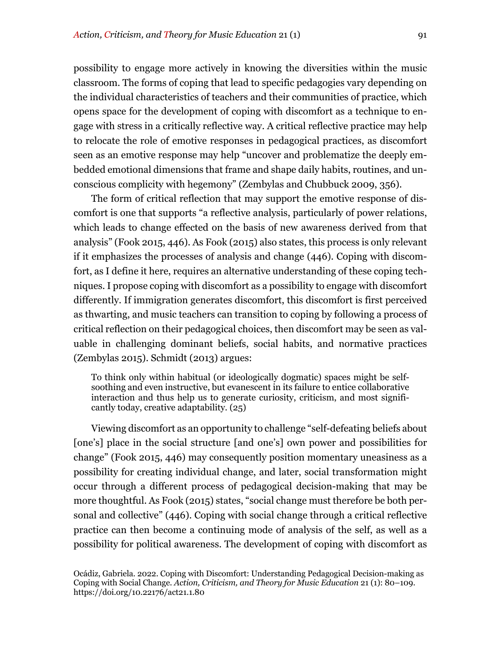possibility to engage more actively in knowing the diversities within the music classroom. The forms of coping that lead to specific pedagogies vary depending on the individual characteristics of teachers and their communities of practice, which opens space for the development of coping with discomfort as a technique to engage with stress in a critically reflective way. A critical reflective practice may help to relocate the role of emotive responses in pedagogical practices, as discomfort seen as an emotive response may help "uncover and problematize the deeply embedded emotional dimensions that frame and shape daily habits, routines, and unconscious complicity with hegemony" (Zembylas and Chubbuck 2009, 356).

The form of critical reflection that may support the emotive response of discomfort is one that supports "a reflective analysis, particularly of power relations, which leads to change effected on the basis of new awareness derived from that analysis" (Fook 2015, 446). As Fook (2015) also states, this process is only relevant if it emphasizes the processes of analysis and change (446). Coping with discomfort, as I define it here, requires an alternative understanding of these coping techniques. I propose coping with discomfort as a possibility to engage with discomfort differently. If immigration generates discomfort, this discomfort is first perceived as thwarting, and music teachers can transition to coping by following a process of critical reflection on their pedagogical choices, then discomfort may be seen as valuable in challenging dominant beliefs, social habits, and normative practices (Zembylas 2015). Schmidt (2013) argues:

To think only within habitual (or ideologically dogmatic) spaces might be selfsoothing and even instructive, but evanescent in its failure to entice collaborative interaction and thus help us to generate curiosity, criticism, and most significantly today, creative adaptability. (25)

Viewing discomfort as an opportunity to challenge "self-defeating beliefs about [one's] place in the social structure [and one's] own power and possibilities for change" (Fook 2015, 446) may consequently position momentary uneasiness as a possibility for creating individual change, and later, social transformation might occur through a different process of pedagogical decision-making that may be more thoughtful. As Fook (2015) states, "social change must therefore be both personal and collective" (446). Coping with social change through a critical reflective practice can then become a continuing mode of analysis of the self, as well as a possibility for political awareness. The development of coping with discomfort as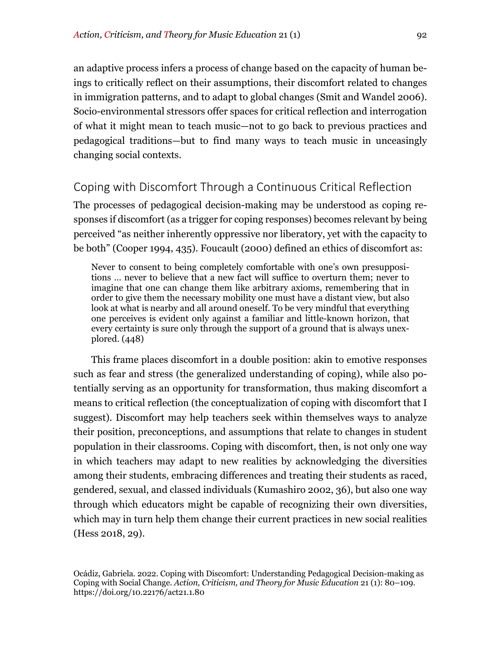an adaptive process infers a process of change based on the capacity of human beings to critically reflect on their assumptions, their discomfort related to changes in immigration patterns, and to adapt to global changes (Smit and Wandel 2006). Socio-environmental stressors offer spaces for critical reflection and interrogation of what it might mean to teach music—not to go back to previous practices and pedagogical traditions—but to find many ways to teach music in unceasingly changing social contexts.

## Coping with Discomfort Through a Continuous Critical Reflection

The processes of pedagogical decision-making may be understood as coping responses if discomfort (as a trigger for coping responses) becomes relevant by being perceived "as neither inherently oppressive nor liberatory, yet with the capacity to be both" (Cooper 1994, 435). Foucault (2000) defined an ethics of discomfort as:

Never to consent to being completely comfortable with one's own presuppositions … never to believe that a new fact will suffice to overturn them; never to imagine that one can change them like arbitrary axioms, remembering that in order to give them the necessary mobility one must have a distant view, but also look at what is nearby and all around oneself. To be very mindful that everything one perceives is evident only against a familiar and little-known horizon, that every certainty is sure only through the support of a ground that is always unexplored. (448)

This frame places discomfort in a double position: akin to emotive responses such as fear and stress (the generalized understanding of coping), while also potentially serving as an opportunity for transformation, thus making discomfort a means to critical reflection (the conceptualization of coping with discomfort that I suggest). Discomfort may help teachers seek within themselves ways to analyze their position, preconceptions, and assumptions that relate to changes in student population in their classrooms. Coping with discomfort, then, is not only one way in which teachers may adapt to new realities by acknowledging the diversities among their students, embracing differences and treating their students as raced, gendered, sexual, and classed individuals (Kumashiro 2002, 36), but also one way through which educators might be capable of recognizing their own diversities, which may in turn help them change their current practices in new social realities (Hess 2018, 29).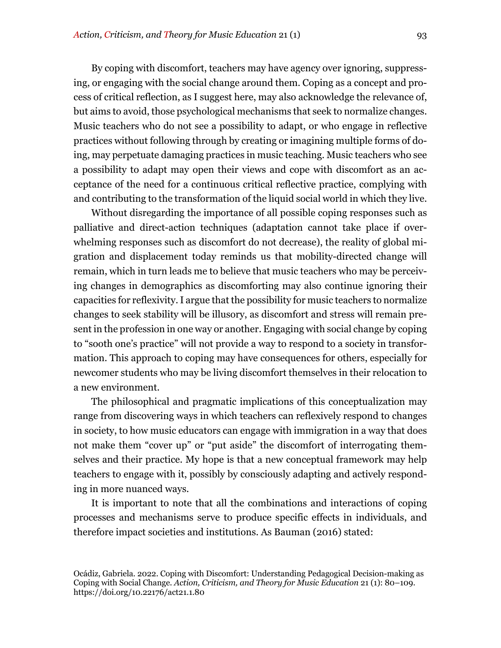By coping with discomfort, teachers may have agency over ignoring, suppressing, or engaging with the social change around them. Coping as a concept and process of critical reflection, as I suggest here, may also acknowledge the relevance of, but aims to avoid, those psychological mechanisms that seek to normalize changes. Music teachers who do not see a possibility to adapt, or who engage in reflective practices without following through by creating or imagining multiple forms of doing, may perpetuate damaging practices in music teaching. Music teachers who see a possibility to adapt may open their views and cope with discomfort as an acceptance of the need for a continuous critical reflective practice, complying with and contributing to the transformation of the liquid social world in which they live.

Without disregarding the importance of all possible coping responses such as palliative and direct-action techniques (adaptation cannot take place if overwhelming responses such as discomfort do not decrease), the reality of global migration and displacement today reminds us that mobility-directed change will remain, which in turn leads me to believe that music teachers who may be perceiving changes in demographics as discomforting may also continue ignoring their capacities for reflexivity. I argue that the possibility for music teachers to normalize changes to seek stability will be illusory, as discomfort and stress will remain present in the profession in one way or another. Engaging with social change by coping to "sooth one's practice" will not provide a way to respond to a society in transformation. This approach to coping may have consequences for others, especially for newcomer students who may be living discomfort themselves in their relocation to a new environment.

The philosophical and pragmatic implications of this conceptualization may range from discovering ways in which teachers can reflexively respond to changes in society, to how music educators can engage with immigration in a way that does not make them "cover up" or "put aside" the discomfort of interrogating themselves and their practice. My hope is that a new conceptual framework may help teachers to engage with it, possibly by consciously adapting and actively responding in more nuanced ways.

It is important to note that all the combinations and interactions of coping processes and mechanisms serve to produce specific effects in individuals, and therefore impact societies and institutions. As Bauman (2016) stated: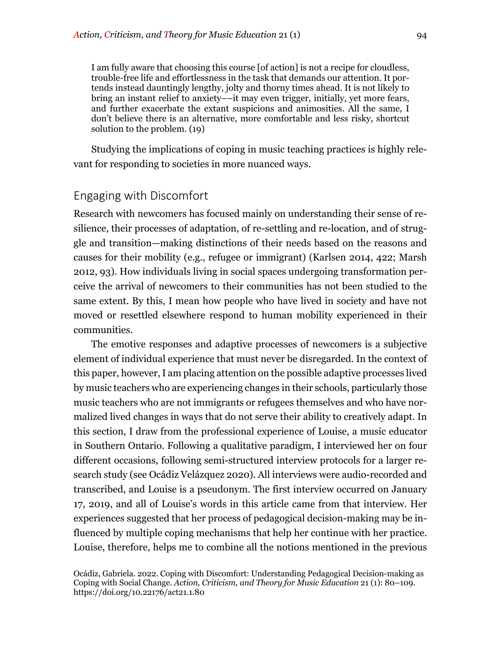I am fully aware that choosing this course [of action] is not a recipe for cloudless, trouble-free life and effortlessness in the task that demands our attention. It portends instead dauntingly lengthy, jolty and thorny times ahead. It is not likely to bring an instant relief to anxiety––it may even trigger, initially, yet more fears, and further exacerbate the extant suspicions and animosities. All the same, I don't believe there is an alternative, more comfortable and less risky, shortcut solution to the problem. (19)

Studying the implications of coping in music teaching practices is highly relevant for responding to societies in more nuanced ways.

## Engaging with Discomfort

Research with newcomers has focused mainly on understanding their sense of resilience, their processes of adaptation, of re-settling and re-location, and of struggle and transition—making distinctions of their needs based on the reasons and causes for their mobility (e.g., refugee or immigrant) (Karlsen 2014, 422; Marsh 2012, 93). How individuals living in social spaces undergoing transformation perceive the arrival of newcomers to their communities has not been studied to the same extent. By this, I mean how people who have lived in society and have not moved or resettled elsewhere respond to human mobility experienced in their communities.

The emotive responses and adaptive processes of newcomers is a subjective element of individual experience that must never be disregarded. In the context of this paper, however, I am placing attention on the possible adaptive processes lived by music teachers who are experiencing changes in their schools, particularly those music teachers who are not immigrants or refugees themselves and who have normalized lived changes in ways that do not serve their ability to creatively adapt. In this section, I draw from the professional experience of Louise, a music educator in Southern Ontario. Following a qualitative paradigm, I interviewed her on four different occasions, following semi-structured interview protocols for a larger research study (see Ocádiz Velázquez 2020). All interviews were audio-recorded and transcribed, and Louise is a pseudonym. The first interview occurred on January 17, 2019, and all of Louise's words in this article came from that interview. Her experiences suggested that her process of pedagogical decision-making may be influenced by multiple coping mechanisms that help her continue with her practice. Louise, therefore, helps me to combine all the notions mentioned in the previous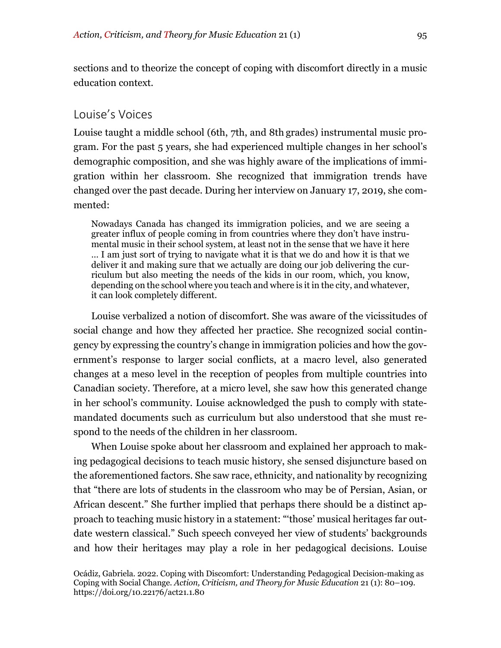sections and to theorize the concept of coping with discomfort directly in a music education context.

#### Louise's Voices

Louise taught a middle school (6th, 7th, and 8th grades) instrumental music program. For the past 5 years, she had experienced multiple changes in her school's demographic composition, and she was highly aware of the implications of immigration within her classroom. She recognized that immigration trends have changed over the past decade. During her interview on January 17, 2019, she commented:

Nowadays Canada has changed its immigration policies, and we are seeing a greater influx of people coming in from countries where they don't have instrumental music in their school system, at least not in the sense that we have it here … I am just sort of trying to navigate what it is that we do and how it is that we deliver it and making sure that we actually are doing our job delivering the curriculum but also meeting the needs of the kids in our room, which, you know, depending on the school where you teach and where is it in the city, and whatever, it can look completely different.

Louise verbalized a notion of discomfort. She was aware of the vicissitudes of social change and how they affected her practice. She recognized social contingency by expressing the country's change in immigration policies and how the government's response to larger social conflicts, at a macro level, also generated changes at a meso level in the reception of peoples from multiple countries into Canadian society. Therefore, at a micro level, she saw how this generated change in her school's community. Louise acknowledged the push to comply with statemandated documents such as curriculum but also understood that she must respond to the needs of the children in her classroom.

When Louise spoke about her classroom and explained her approach to making pedagogical decisions to teach music history, she sensed disjuncture based on the aforementioned factors. She saw race, ethnicity, and nationality by recognizing that "there are lots of students in the classroom who may be of Persian, Asian, or African descent." She further implied that perhaps there should be a distinct approach to teaching music history in a statement: "'those' musical heritages far outdate western classical." Such speech conveyed her view of students' backgrounds and how their heritages may play a role in her pedagogical decisions. Louise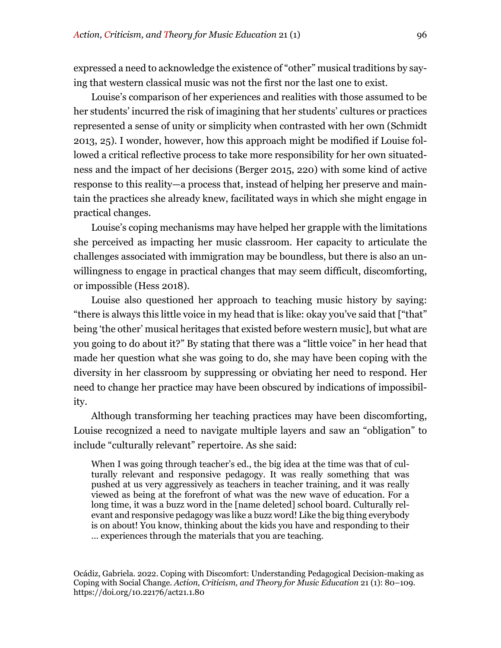expressed a need to acknowledge the existence of "other" musical traditions by saying that western classical music was not the first nor the last one to exist.

Louise's comparison of her experiences and realities with those assumed to be her students' incurred the risk of imagining that her students' cultures or practices represented a sense of unity or simplicity when contrasted with her own (Schmidt 2013, 25). I wonder, however, how this approach might be modified if Louise followed a critical reflective process to take more responsibility for her own situatedness and the impact of her decisions (Berger 2015, 220) with some kind of active response to this reality—a process that, instead of helping her preserve and maintain the practices she already knew, facilitated ways in which she might engage in practical changes.

Louise's coping mechanisms may have helped her grapple with the limitations she perceived as impacting her music classroom. Her capacity to articulate the challenges associated with immigration may be boundless, but there is also an unwillingness to engage in practical changes that may seem difficult, discomforting, or impossible (Hess 2018).

Louise also questioned her approach to teaching music history by saying: "there is always this little voice in my head that is like: okay you've said that ["that" being 'the other' musical heritages that existed before western music], but what are you going to do about it?" By stating that there was a "little voice" in her head that made her question what she was going to do, she may have been coping with the diversity in her classroom by suppressing or obviating her need to respond*.* Her need to change her practice may have been obscured by indications of impossibility.

Although transforming her teaching practices may have been discomforting, Louise recognized a need to navigate multiple layers and saw an "obligation" to include "culturally relevant" repertoire. As she said:

When I was going through teacher's ed., the big idea at the time was that of culturally relevant and responsive pedagogy. It was really something that was pushed at us very aggressively as teachers in teacher training, and it was really viewed as being at the forefront of what was the new wave of education. For a long time, it was a buzz word in the [name deleted] school board. Culturally relevant and responsive pedagogy was like a buzz word! Like the big thing everybody is on about! You know, thinking about the kids you have and responding to their … experiences through the materials that you are teaching.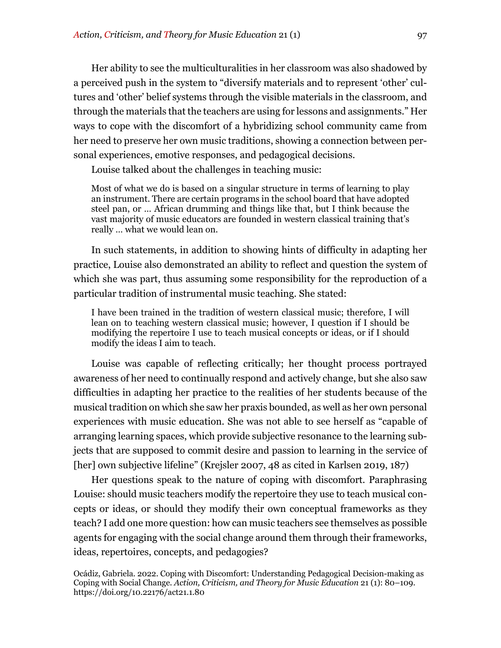Her ability to see the multiculturalities in her classroom was also shadowed by a perceived push in the system to "diversify materials and to represent 'other' cultures and 'other' belief systems through the visible materials in the classroom, and through the materials that the teachers are using for lessons and assignments." Her ways to cope with the discomfort of a hybridizing school community came from her need to preserve her own music traditions, showing a connection between personal experiences, emotive responses, and pedagogical decisions.

Louise talked about the challenges in teaching music:

Most of what we do is based on a singular structure in terms of learning to play an instrument. There are certain programs in the school board that have adopted steel pan, or … African drumming and things like that, but I think because the vast majority of music educators are founded in western classical training that's really … what we would lean on.

In such statements, in addition to showing hints of difficulty in adapting her practice, Louise also demonstrated an ability to reflect and question the system of which she was part, thus assuming some responsibility for the reproduction of a particular tradition of instrumental music teaching. She stated:

I have been trained in the tradition of western classical music; therefore, I will lean on to teaching western classical music; however, I question if I should be modifying the repertoire I use to teach musical concepts or ideas, or if I should modify the ideas I aim to teach.

Louise was capable of reflecting critically; her thought process portrayed awareness of her need to continually respond and actively change, but she also saw difficulties in adapting her practice to the realities of her students because of the musical tradition on which she saw her praxis bounded, as well as her own personal experiences with music education. She was not able to see herself as "capable of arranging learning spaces, which provide subjective resonance to the learning subjects that are supposed to commit desire and passion to learning in the service of [her] own subjective lifeline" (Krejsler 2007, 48 as cited in Karlsen 2019, 187)

Her questions speak to the nature of coping with discomfort. Paraphrasing Louise: should music teachers modify the repertoire they use to teach musical concepts or ideas, or should they modify their own conceptual frameworks as they teach? I add one more question: how can music teachers see themselves as possible agents for engaging with the social change around them through their frameworks, ideas, repertoires, concepts, and pedagogies?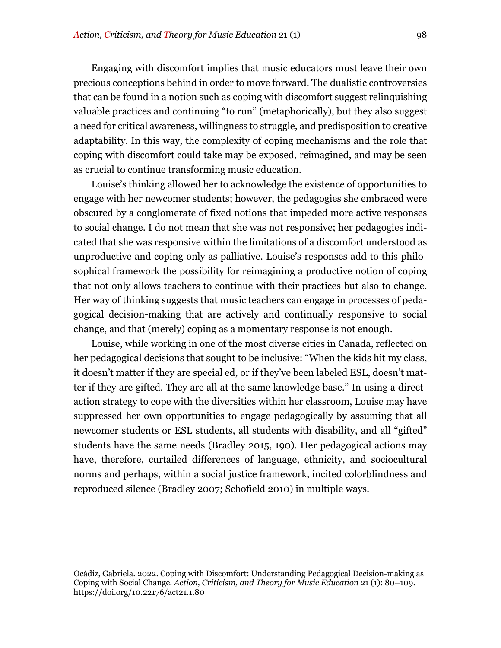Engaging with discomfort implies that music educators must leave their own precious conceptions behind in order to move forward. The dualistic controversies that can be found in a notion such as coping with discomfort suggest relinquishing valuable practices and continuing "to run" (metaphorically), but they also suggest a need for critical awareness, willingness to struggle, and predisposition to creative adaptability. In this way, the complexity of coping mechanisms and the role that coping with discomfort could take may be exposed, reimagined, and may be seen as crucial to continue transforming music education.

Louise's thinking allowed her to acknowledge the existence of opportunities to engage with her newcomer students; however, the pedagogies she embraced were obscured by a conglomerate of fixed notions that impeded more active responses to social change. I do not mean that she was not responsive; her pedagogies indicated that she was responsive within the limitations of a discomfort understood as unproductive and coping only as palliative. Louise's responses add to this philosophical framework the possibility for reimagining a productive notion of coping that not only allows teachers to continue with their practices but also to change. Her way of thinking suggests that music teachers can engage in processes of pedagogical decision-making that are actively and continually responsive to social change, and that (merely) coping as a momentary response is not enough.

Louise, while working in one of the most diverse cities in Canada, reflected on her pedagogical decisions that sought to be inclusive: "When the kids hit my class, it doesn't matter if they are special ed, or if they've been labeled ESL, doesn't matter if they are gifted. They are all at the same knowledge base." In using a directaction strategy to cope with the diversities within her classroom, Louise may have suppressed her own opportunities to engage pedagogically by assuming that all newcomer students or ESL students, all students with disability, and all "gifted" students have the same needs (Bradley 2015, 190). Her pedagogical actions may have, therefore, curtailed differences of language, ethnicity, and sociocultural norms and perhaps, within a social justice framework, incited colorblindness and reproduced silence (Bradley 2007; Schofield 2010) in multiple ways.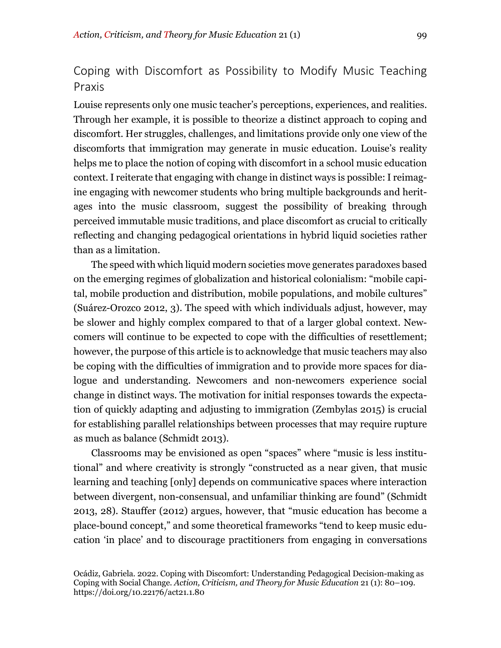## Coping with Discomfort as Possibility to Modify Music Teaching Praxis

Louise represents only one music teacher's perceptions, experiences, and realities. Through her example, it is possible to theorize a distinct approach to coping and discomfort. Her struggles, challenges, and limitations provide only one view of the discomforts that immigration may generate in music education. Louise's reality helps me to place the notion of coping with discomfort in a school music education context. I reiterate that engaging with change in distinct ways is possible: I reimagine engaging with newcomer students who bring multiple backgrounds and heritages into the music classroom, suggest the possibility of breaking through perceived immutable music traditions, and place discomfort as crucial to critically reflecting and changing pedagogical orientations in hybrid liquid societies rather than as a limitation.

The speed with which liquid modern societies move generates paradoxes based on the emerging regimes of globalization and historical colonialism: "mobile capital, mobile production and distribution, mobile populations, and mobile cultures" (Suárez-Orozco 2012, 3). The speed with which individuals adjust, however, may be slower and highly complex compared to that of a larger global context. Newcomers will continue to be expected to cope with the difficulties of resettlement; however, the purpose of this article is to acknowledge that music teachers may also be coping with the difficulties of immigration and to provide more spaces for dialogue and understanding. Newcomers and non-newcomers experience social change in distinct ways. The motivation for initial responses towards the expectation of quickly adapting and adjusting to immigration (Zembylas 2015) is crucial for establishing parallel relationships between processes that may require rupture as much as balance (Schmidt 2013).

Classrooms may be envisioned as open "spaces" where "music is less institutional" and where creativity is strongly "constructed as a near given, that music learning and teaching [only] depends on communicative spaces where interaction between divergent, non-consensual, and unfamiliar thinking are found" (Schmidt 2013, 28). Stauffer (2012) argues, however, that "music education has become a place-bound concept," and some theoretical frameworks "tend to keep music education 'in place' and to discourage practitioners from engaging in conversations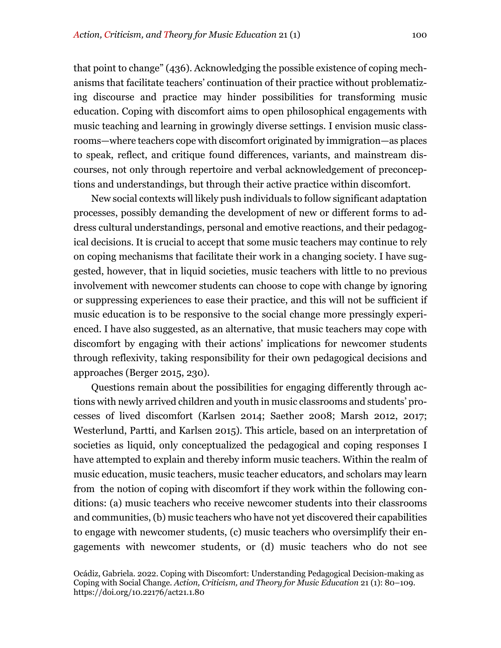that point to change" (436). Acknowledging the possible existence of coping mechanisms that facilitate teachers' continuation of their practice without problematizing discourse and practice may hinder possibilities for transforming music education. Coping with discomfort aims to open philosophical engagements with music teaching and learning in growingly diverse settings. I envision music classrooms—where teachers cope with discomfort originated by immigration—as places to speak, reflect, and critique found differences, variants, and mainstream discourses, not only through repertoire and verbal acknowledgement of preconceptions and understandings, but through their active practice within discomfort.

New social contexts will likely push individuals to follow significant adaptation processes, possibly demanding the development of new or different forms to address cultural understandings, personal and emotive reactions, and their pedagogical decisions. It is crucial to accept that some music teachers may continue to rely on coping mechanisms that facilitate their work in a changing society. I have suggested, however, that in liquid societies, music teachers with little to no previous involvement with newcomer students can choose to cope with change by ignoring or suppressing experiences to ease their practice, and this will not be sufficient if music education is to be responsive to the social change more pressingly experienced. I have also suggested, as an alternative, that music teachers may cope with discomfort by engaging with their actions' implications for newcomer students through reflexivity, taking responsibility for their own pedagogical decisions and approaches (Berger 2015, 230).

Questions remain about the possibilities for engaging differently through actions with newly arrived children and youth in music classrooms and students' processes of lived discomfort (Karlsen 2014; Saether 2008; Marsh 2012, 2017; Westerlund, Partti, and Karlsen 2015). This article, based on an interpretation of societies as liquid, only conceptualized the pedagogical and coping responses I have attempted to explain and thereby inform music teachers. Within the realm of music education, music teachers, music teacher educators, and scholars may learn from the notion of coping with discomfort if they work within the following conditions: (a) music teachers who receive newcomer students into their classrooms and communities, (b) music teachers who have not yet discovered their capabilities to engage with newcomer students, (c) music teachers who oversimplify their engagements with newcomer students, or (d) music teachers who do not see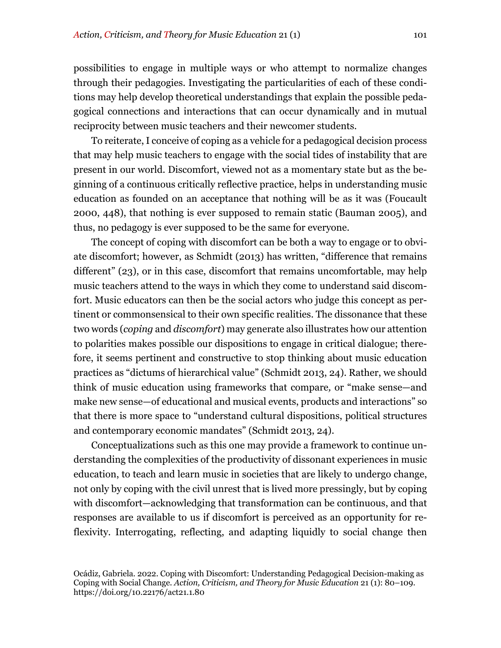possibilities to engage in multiple ways or who attempt to normalize changes through their pedagogies. Investigating the particularities of each of these conditions may help develop theoretical understandings that explain the possible pedagogical connections and interactions that can occur dynamically and in mutual reciprocity between music teachers and their newcomer students.

To reiterate, I conceive of coping as a vehicle for a pedagogical decision process that may help music teachers to engage with the social tides of instability that are present in our world. Discomfort, viewed not as a momentary state but as the beginning of a continuous critically reflective practice, helps in understanding music education as founded on an acceptance that nothing will be as it was (Foucault 2000, 448), that nothing is ever supposed to remain static (Bauman 2005), and thus, no pedagogy is ever supposed to be the same for everyone.

The concept of coping with discomfort can be both a way to engage or to obviate discomfort; however, as Schmidt (2013) has written, "difference that remains different" (23), or in this case, discomfort that remains uncomfortable, may help music teachers attend to the ways in which they come to understand said discomfort. Music educators can then be the social actors who judge this concept as pertinent or commonsensical to their own specific realities. The dissonance that these two words (*coping* and *discomfort*) may generate also illustrates how our attention to polarities makes possible our dispositions to engage in critical dialogue; therefore, it seems pertinent and constructive to stop thinking about music education practices as "dictums of hierarchical value" (Schmidt 2013, 24). Rather, we should think of music education using frameworks that compare*,* or "make sense—and make new sense—of educational and musical events, products and interactions" so that there is more space to "understand cultural dispositions, political structures and contemporary economic mandates" (Schmidt 2013, 24).

Conceptualizations such as this one may provide a framework to continue understanding the complexities of the productivity of dissonant experiences in music education, to teach and learn music in societies that are likely to undergo change, not only by coping with the civil unrest that is lived more pressingly, but by coping with discomfort—acknowledging that transformation can be continuous, and that responses are available to us if discomfort is perceived as an opportunity for reflexivity. Interrogating, reflecting, and adapting liquidly to social change then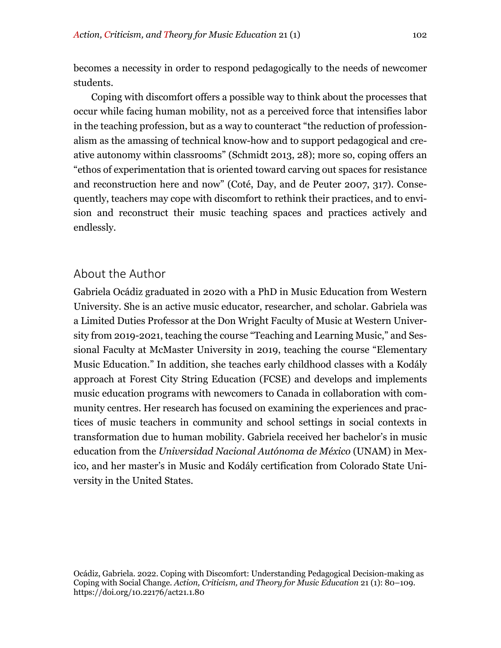becomes a necessity in order to respond pedagogically to the needs of newcomer students.

Coping with discomfort offers a possible way to think about the processes that occur while facing human mobility, not as a perceived force that intensifies labor in the teaching profession, but as a way to counteract "the reduction of professionalism as the amassing of technical know-how and to support pedagogical and creative autonomy within classrooms" (Schmidt 2013, 28); more so, coping offers an "ethos of experimentation that is oriented toward carving out spaces for resistance and reconstruction here and now" (Coté, Day, and de Peuter 2007, 317). Consequently, teachers may cope with discomfort to rethink their practices, and to envision and reconstruct their music teaching spaces and practices actively and endlessly.

## About the Author

Gabriela Ocádiz graduated in 2020 with a PhD in Music Education from Western University. She is an active music educator, researcher, and scholar. Gabriela was a Limited Duties Professor at the Don Wright Faculty of Music at Western University from 2019-2021, teaching the course "Teaching and Learning Music," and Sessional Faculty at McMaster University in 2019, teaching the course "Elementary Music Education." In addition, she teaches early childhood classes with a Kodály approach at Forest City String Education (FCSE) and develops and implements music education programs with newcomers to Canada in collaboration with community centres. Her research has focused on examining the experiences and practices of music teachers in community and school settings in social contexts in transformation due to human mobility. Gabriela received her bachelor's in music education from the *Universidad Nacional Autónoma de México* (UNAM) in Mexico, and her master's in Music and Kodály certification from Colorado State University in the United States.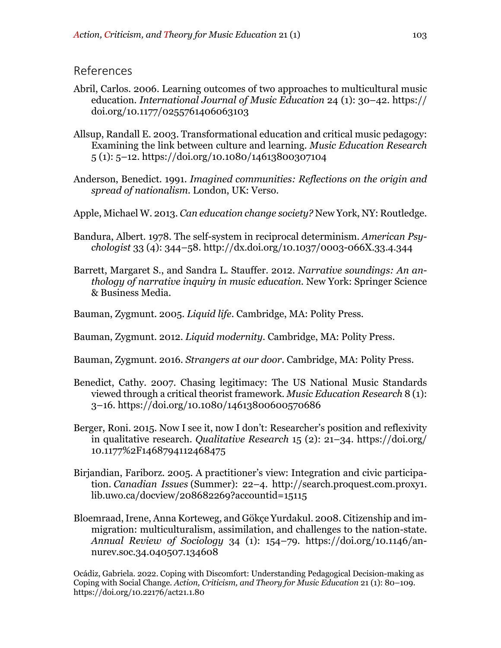#### References

- Abril, Carlos. 2006. Learning outcomes of two approaches to multicultural music education. *International Journal of Music Education* 24 (1): 30–42. https:// doi.org/10.1177/0255761406063103
- Allsup, Randall E. 2003. Transformational education and critical music pedagogy: Examining the link between culture and learning. *Music Education Research* 5 (1): 5–12. https://doi.org/10.1080/14613800307104
- Anderson, Benedict. 1991. *Imagined communities: Reflections on the origin and spread of nationalism*. London, UK: Verso.
- Apple, Michael W. 2013. *Can education change society?* New York, NY: Routledge.
- Bandura, Albert. 1978. The self-system in reciprocal determinism. *American Psychologist* 33 (4): 344–58. http://dx.doi.org/10.1037/0003-066X.33.4.344
- Barrett, Margaret S., and Sandra L. Stauffer. 2012. *Narrative soundings: An anthology of narrative inquiry in music education.* New York: Springer Science & Business Media.
- Bauman, Zygmunt. 2005. *Liquid life*. Cambridge, MA: Polity Press.
- Bauman, Zygmunt. 2012. *Liquid modernity*. Cambridge, MA: Polity Press.
- Bauman, Zygmunt. 2016. *Strangers at our door*. Cambridge, MA: Polity Press.
- Benedict, Cathy. 2007. Chasing legitimacy: The US National Music Standards viewed through a critical theorist framework. *Music Education Research* 8 (1): 3–16. https://doi.org/10.1080/14613800600570686
- Berger, Roni. 2015. Now I see it, now I don't: Researcher's position and reflexivity in qualitative research. *Qualitative Research* 15 (2): 21–34. https://doi.org/ 10.1177%2F1468794112468475
- Birjandian, Fariborz. 2005. A practitioner's view: Integration and civic participation. *Canadian Issues* (Summer): 22–4. http://search.proquest.com.proxy1. lib.uwo.ca/docview/208682269?accountid=15115
- Bloemraad, Irene, Anna Korteweg, and Gökçe Yurdakul. 2008. Citizenship and immigration: multiculturalism, assimilation, and challenges to the nation-state. *Annual Review of Sociology* 34 (1): 154–79. https://doi.org/10.1146/annurev.soc.34.040507.134608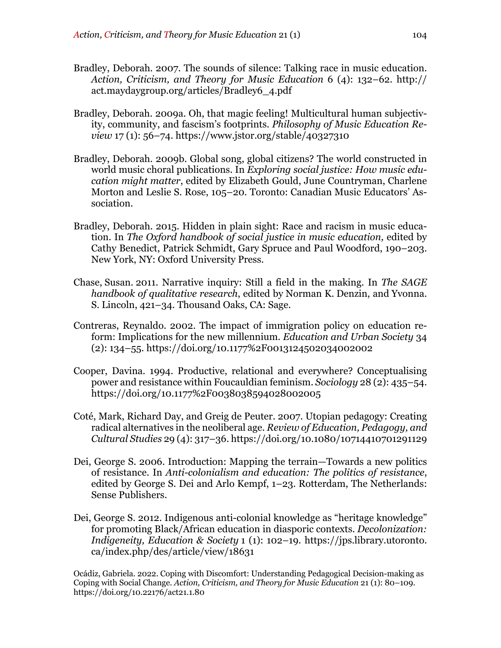- Bradley, Deborah. 2007. The sounds of silence: Talking race in music education. *Action, Criticism, and Theory for Music Education* 6 (4): 132–62. http:// act.maydaygroup.org/articles/Bradley6\_4.pdf
- Bradley, Deborah. 2009a. Oh, that magic feeling! Multicultural human subjectivity, community, and fascism's footprints. *Philosophy of Music Education Review* 17 (1): 56–74. https://www.jstor.org/stable/40327310
- Bradley, Deborah. 2009b. Global song, global citizens? The world constructed in world music choral publications. In *Exploring social justice: How music education might matter*, edited by Elizabeth Gould, June Countryman, Charlene Morton and Leslie S. Rose, 105–20. Toronto: Canadian Music Educators' Association.
- Bradley, Deborah. 2015. Hidden in plain sight: Race and racism in music education. In *The Oxford handbook of social justice in music education,* edited by Cathy Benedict, Patrick Schmidt, Gary Spruce and Paul Woodford, 190–203. New York, NY: Oxford University Press.
- Chase, Susan. 2011. Narrative inquiry: Still a field in the making. In *The SAGE handbook of qualitative research*, edited by Norman K. Denzin, and Yvonna. S. Lincoln, 421–34. Thousand Oaks, CA: Sage.
- Contreras, Reynaldo. 2002. The impact of immigration policy on education reform: Implications for the new millennium. *Education and Urban Society* 34 (2): 134–55. https://doi.org/10.1177%2F0013124502034002002
- Cooper, Davina. 1994. Productive, relational and everywhere? Conceptualising power and resistance within Foucauldian feminism. *Sociology* 28 (2): 435–54. https://doi.org/10.1177%2F0038038594028002005
- Coté, Mark, Richard Day, and Greig de Peuter. 2007. Utopian pedagogy: Creating radical alternatives in the neoliberal age. *Review of Education, Pedagogy, and Cultural Studies* 29 (4): 317–36. https://doi.org/10.1080/10714410701291129
- Dei, George S. 2006. Introduction: Mapping the terrain—Towards a new politics of resistance. In *Anti-colonialism and education: The politics of resistance*, edited by George S. Dei and Arlo Kempf, 1–23. Rotterdam, The Netherlands: Sense Publishers.
- Dei, George S. 2012. Indigenous anti-colonial knowledge as "heritage knowledge" for promoting Black/African education in diasporic contexts. *Decolonization: Indigeneity, Education & Society* 1 (1): 102–19. https://jps.library.utoronto. ca/index.php/des/article/view/18631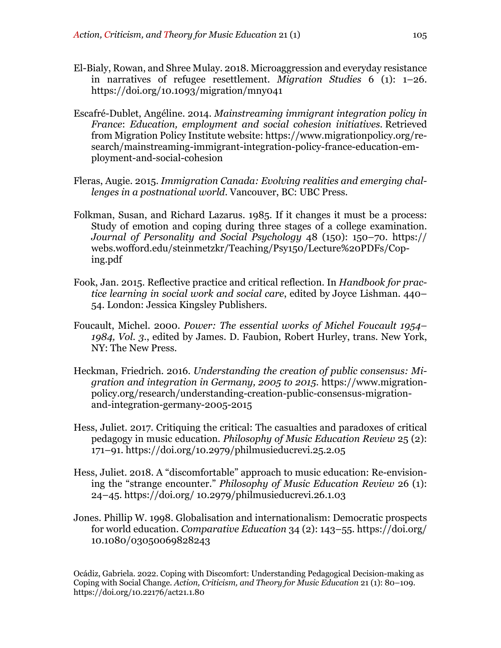- El-Bialy, Rowan, and Shree Mulay. 2018. Microaggression and everyday resistance in narratives of refugee resettlement. *Migration Studies* 6 (1): 1–26. https://doi.org/10.1093/migration/mny041
- Escafré-Dublet, Angéline. 2014. *Mainstreaming immigrant integration policy in France*: *Education, employment and social cohesion initiatives.* Retrieved from Migration Policy Institute website: https://www.migrationpolicy.org/research/mainstreaming-immigrant-integration-policy-france-education-employment-and-social-cohesion
- Fleras, Augie. 2015. *Immigration Canada: Evolving realities and emerging challenges in a postnational world*. Vancouver, BC: UBC Press.
- Folkman, Susan, and Richard Lazarus. 1985. If it changes it must be a process: Study of emotion and coping during three stages of a college examination. *Journal of Personality and Social Psychology* 48 (150): 150–70. https:// webs.wofford.edu/steinmetzkr/Teaching/Psy150/Lecture%20PDFs/Coping.pdf
- Fook, Jan. 2015. Reflective practice and critical reflection. In *Handbook for practice learning in social work and social care*, edited by Joyce Lishman. 440– 54. London: Jessica Kingsley Publishers.
- Foucault, Michel. 2000. *Power: The essential works of Michel Foucault 1954– 1984, Vol. 3*., edited by James. D. Faubion, Robert Hurley, trans. New York, NY: The New Press.
- Heckman, Friedrich. 2016. *Understanding the creation of public consensus: Migration and integration in Germany, 2005 to 2015*. https://www.migrationpolicy.org/research/understanding-creation-public-consensus-migrationand-integration-germany-2005-2015
- Hess, Juliet. 2017. Critiquing the critical: The casualties and paradoxes of critical pedagogy in music education. *Philosophy of Music Education Review* 25 (2): 171–91. https://doi.org/10.2979/philmusieducrevi.25.2.05
- Hess, Juliet. 2018. A "discomfortable" approach to music education: Re-envisioning the "strange encounter." *Philosophy of Music Education Review* 26 (1): 24–45. https://doi.org/ 10.2979/philmusieducrevi.26.1.03
- Jones. Phillip W. 1998. Globalisation and internationalism: Democratic prospects for world education. *Comparative Education* 34 (2): 143–55. https://doi.org/ 10.1080/03050069828243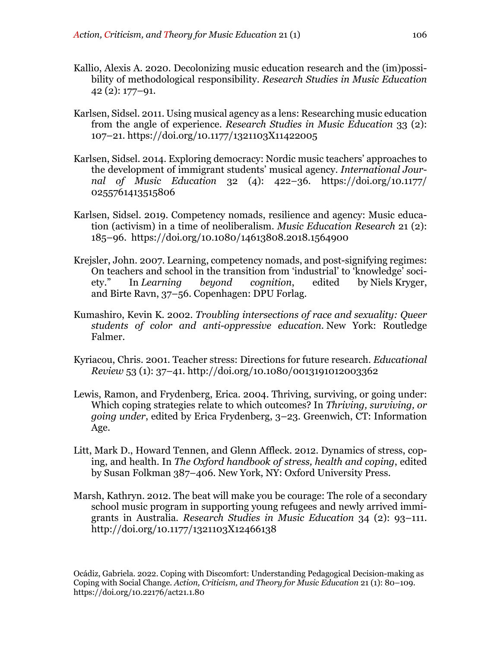- Kallio, Alexis A. 2020. Decolonizing music education research and the (im)possibility of methodological responsibility. *Research Studies in Music Education* 42 (2): 177–91.
- Karlsen, Sidsel. 2011. Using musical agency as a lens: Researching music education from the angle of experience. *Research Studies in Music Education* 33 (2): 107–21. https://doi.org/10.1177/1321103X11422005
- Karlsen, Sidsel. 2014. Exploring democracy: Nordic music teachers' approaches to the development of immigrant students' musical agency. *International Journal of Music Education* 32 (4): 422–36. https://doi.org/10.1177/ 0255761413515806
- Karlsen, Sidsel. 2019. Competency nomads, resilience and agency: Music education (activism) in a time of neoliberalism. *Music Education Research* 21 (2): 185–96. https://doi.org/10.1080/14613808.2018.1564900
- Krejsler, John. 2007. Learning, competency nomads, and post-signifying regimes: On teachers and school in the transition from 'industrial' to 'knowledge' society." In *Learning beyond cognition*, edited by Niels Kryger, and Birte Ravn, 37–56. Copenhagen: DPU Forlag.
- Kumashiro, Kevin K. 2002. *Troubling intersections of race and sexuality: Queer students of color and anti-oppressive education*. New York: Routledge Falmer.
- Kyriacou, Chris. 2001. Teacher stress: Directions for future research. *Educational Review* 53 (1): 37–41. http://doi.org/10.1080/0013191012003362
- Lewis, Ramon, and Frydenberg, Erica. 2004. Thriving, surviving, or going under: Which coping strategies relate to which outcomes? In *Thriving, surviving, or going under*, edited by Erica Frydenberg, 3–23. Greenwich, CT: Information Age.
- Litt, Mark D., Howard Tennen, and Glenn Affleck. 2012. Dynamics of stress, coping, and health. In *The Oxford handbook of stress, health and coping*, edited by Susan Folkman 387–406. New York, NY: Oxford University Press.
- Marsh, Kathryn. 2012. The beat will make you be courage: The role of a secondary school music program in supporting young refugees and newly arrived immigrants in Australia. *Research Studies in Music Education* 34 (2): 93–111. http://doi.org/10.1177/1321103X12466138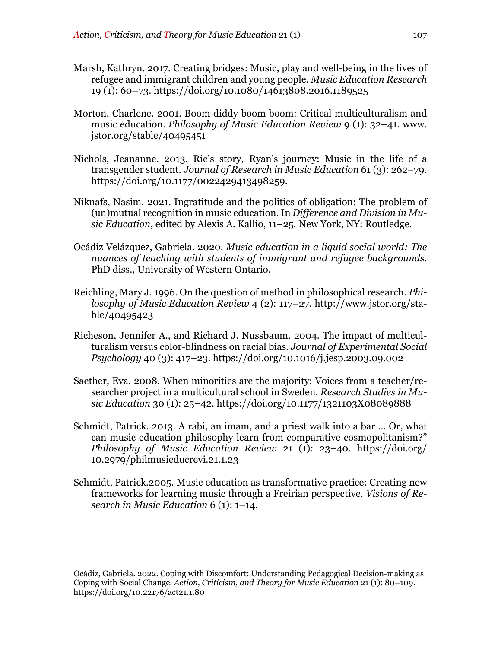- Marsh, Kathryn. 2017. Creating bridges: Music, play and well-being in the lives of refugee and immigrant children and young people. *Music Education Research* 19 (1): 60–73. https://doi.org/10.1080/14613808.2016.1189525
- Morton, Charlene. 2001. Boom diddy boom boom: Critical multiculturalism and music education. *Philosophy of Music Education Review* 9 (1): 32–41. www. jstor.org/stable/40495451
- Nichols, Jeananne. 2013. Rie's story, Ryan's journey: Music in the life of a transgender student. *Journal of Research in Music Education* 61 (3): 262–79. https://doi.org/10.1177/0022429413498259.
- Niknafs, Nasim. 2021. Ingratitude and the politics of obligation: The problem of (un)mutual recognition in music education. In *Difference and Division in Music Education,* edited by Alexis A. Kallio, 11–25*.* New York, NY: Routledge.
- Ocádiz Velázquez, Gabriela. 2020. *Music education in a liquid social world: The nuances of teaching with students of immigrant and refugee backgrounds*. PhD diss., University of Western Ontario.
- Reichling, Mary J. 1996. On the question of method in philosophical research. *Philosophy of Music Education Review* 4 (2): 117–27. http://www.jstor.org/stable/40495423
- Richeson, Jennifer A., and Richard J. Nussbaum. 2004. The impact of multiculturalism versus color-blindness on racial bias. *Journal of Experimental Social Psychology* 40 (3): 417–23. https://doi.org/10.1016/j.jesp.2003.09.002
- Saether, Eva. 2008. When minorities are the majority: Voices from a teacher/researcher project in a multicultural school in Sweden. *Research Studies in Music Education* 30 (1): 25–42. https://doi.org/10.1177/1321103X08089888
- Schmidt, Patrick. 2013. A rabi, an imam, and a priest walk into a bar ... Or, what can music education philosophy learn from comparative cosmopolitanism?" *Philosophy of Music Education Review* 21 (1): 23–40. https://doi.org/ 10.2979/philmusieducrevi.21.1.23
- Schmidt, Patrick.2005. Music education as transformative practice: Creating new frameworks for learning music through a Freirian perspective. *Visions of Research in Music Education* 6 (1): 1–14.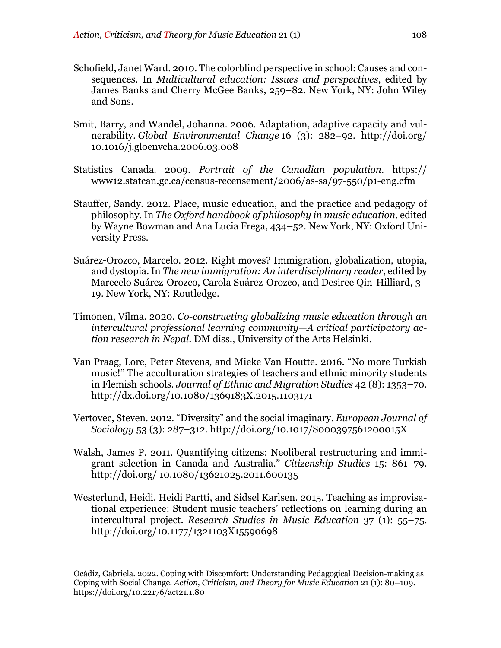- Schofield, Janet Ward. 2010. The colorblind perspective in school: Causes and consequences. In *Multicultural education: Issues and perspectives*, edited by James Banks and Cherry McGee Banks, 259–82. New York, NY: John Wiley and Sons.
- Smit, Barry, and Wandel, Johanna. 2006. Adaptation, adaptive capacity and vulnerability. *Global Environmental Change* 16 (3): 282–92. http://doi.org/ 10.1016/j.gloenvcha.2006.03.008
- Statistics Canada. 2009. *Portrait of the Canadian population*. https:// www12.statcan.gc.ca/census-recensement/2006/as-sa/97-550/p1-eng.cfm
- Stauffer, Sandy. 2012. Place, music education, and the practice and pedagogy of philosophy. In *The Oxford handbook of philosophy in music education*, edited by Wayne Bowman and Ana Lucia Frega, 434–52. New York, NY: Oxford University Press.
- Suárez-Orozco, Marcelo. 2012. Right moves? Immigration, globalization, utopia, and dystopia. In *The new immigration: An interdisciplinary reader*, edited by Marecelo Suárez-Orozco, Carola Suárez-Orozco, and Desiree Qin-Hilliard, 3– 19. New York, NY: Routledge.
- Timonen, Vilma. 2020. *Co-constructing globalizing music education through an intercultural professional learning community—A critical participatory action research in Nepal*. DM diss., University of the Arts Helsinki.
- Van Praag, Lore, Peter Stevens, and Mieke Van Houtte. 2016. "No more Turkish music!" The acculturation strategies of teachers and ethnic minority students in Flemish schools. *Journal of Ethnic and Migration Studies* 42 (8): 1353–70. http://dx.doi.org/10.1080/1369183X.2015.1103171
- Vertovec, Steven. 2012. "Diversity" and the social imaginary. *European Journal of Sociology* 53 (3): 287–312. http://doi.org/10.1017/S000397561200015X
- Walsh, James P. 2011. Quantifying citizens: Neoliberal restructuring and immigrant selection in Canada and Australia." *Citizenship Studies* 15: 861–79. http://doi.org/ 10.1080/13621025.2011.600135
- Westerlund, Heidi, Heidi Partti, and Sidsel Karlsen. 2015. Teaching as improvisational experience: Student music teachers' reflections on learning during an intercultural project. *Research Studies in Music Education* 37 (1): 55–75. http://doi.org/10.1177/1321103X15590698